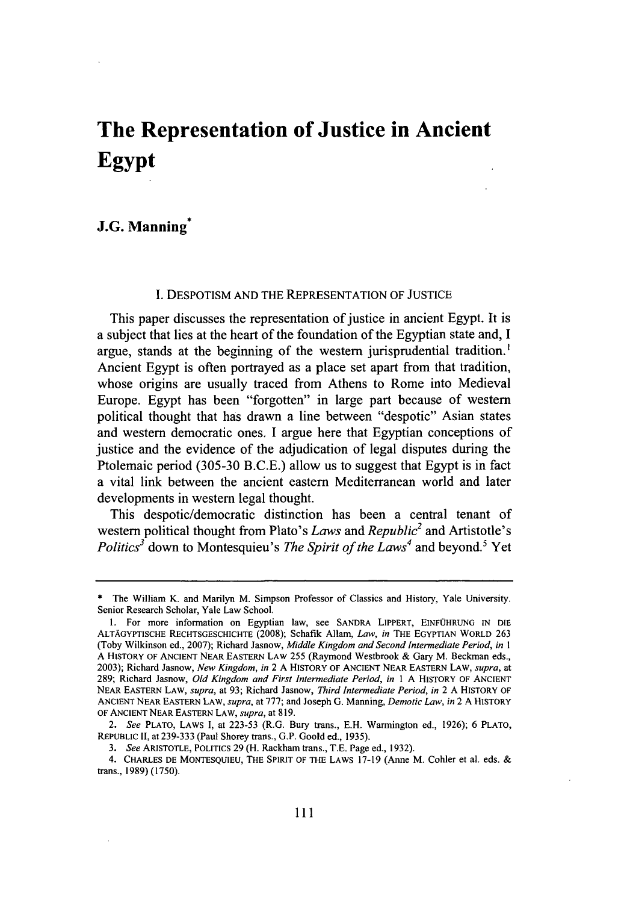# **The Representation of Justice in Ancient Egypt**

# **J.G. Manning\***

### **I. DESPOTISM AND** THE **REPRESENTATION** OF **JUSTICE**

This paper discusses the representation of justice in ancient **Egypt.** It is a subject that lies at the heart of the foundation of the Egyptian state and, **I** argue, stands at the beginning of the western jurisprudential tradition.' Ancient **Egypt** is often portrayed as a place set apart from that tradition, whose origins are usually traced from Athens to Rome into Medieval Europe. **Egypt** has been "forgotten" in large part because of western political thought that has drawn a line between "despotic" Asian states and western democratic ones. **I** argue here that Egyptian conceptions of justice and the evidence of the adjudication of legal disputes during the Ptolemaic period **(305-30 B.C.E.)** allow us to suggest that Egypt is in fact a vital link between the ancient eastern Mediterranean world and later developments in western legal thought.

This despotic/democratic distinction has been a central tenant of western political thought from Plato's *Laws and Republic2* and Artistotle's *Politics<sup>3</sup>* down to Montesquieu's *The Spirit of the Laws<sup>4</sup>* and beyond.<sup>5</sup> Yet

**<sup>\*</sup>** The William K. and Marilyn M. Simpson Professor of Classics and History, Yale University. Senior Research Scholar, Yale Law School.

**<sup>1.</sup>** For more information on Egyptian law, see **SANDRA** LIPPERT, **EINFOHRUNG IN** DIE **ALTAGYPTISCHE** RECHTSGESCHICHTE **(2008);** Schafik Allam, *Law, in* THE **EGYPTIAN** WORLD **263** (Toby Wilkinson ed., **2007);** Richard Jasnow, *Middle Kingdom and Second Intermediate Period, in I* **A** HISTORY OF ANCIENT **NEAR** EASTERN LAW *255* (Raymond Westbrook **&** Gary M. Beckman eds., **2003);** Richard Jasnow, *New Kingdom, in* 2 **A** HISTORY OF **ANCIENT NEAR EASTERN** LAW, *supra, at* **289;** Richard Jasnow, *Old Kingdom and First Intermediate Period, in* 1 **A** HISTORY OF **ANCIENT NEAR EASTERN** LAW, *supra,* at **93;** Richard Jasnow, *Third Intermediate Period, in* 2 **A** HISTORY OF **ANCIENT NEAR EASTERN** LAW, *supra,* at **777;** and Joseph **G.** Manning, *Demotic Law, in* 2 **A** HISTORY OF ANCIENT **NEAR EASTERN** LAW, *supra,* at **819.**

*<sup>2.</sup> See* PLATO, LAWS **1,** at **223-53** (R.G. Bury trans., **E.H.** Warmington ed., **1926); 6** PLATO, REPUBLIC II, at **239-333** (Paul Shorey trans., **G.P.** Goold ed., **1935).**

*<sup>3.</sup> See* ARISTOTLE, POLITICS **29** (H. Rackham trans., **T.E.** Page ed., **1932).**

<sup>4.</sup> CHARLES **DE** MONTESQUIEU, THE SPIRIT OF THE LAWS **17-19** (Anne M. Cohler et al. eds. **&** trans., **1989) (1750).**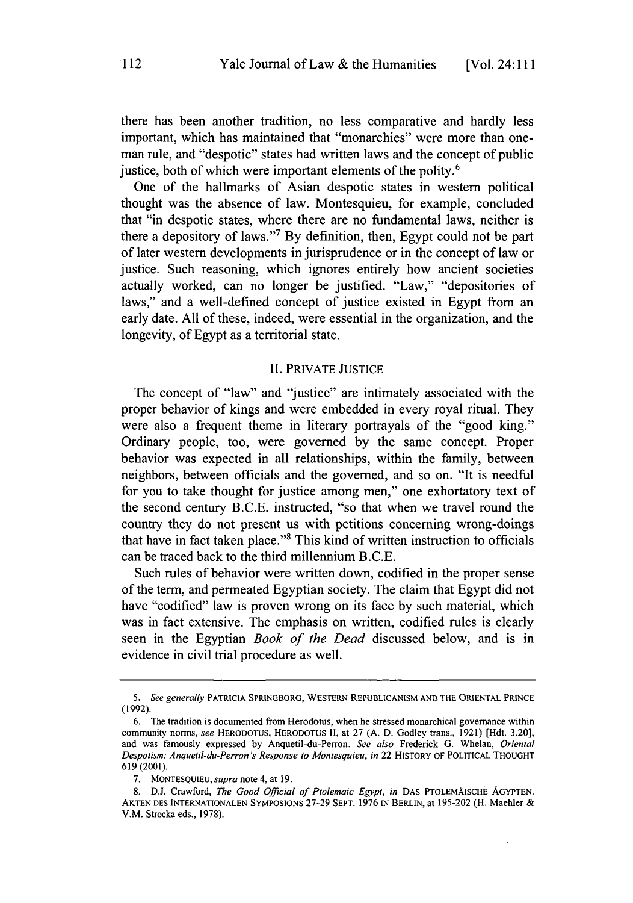there has been another tradition, no less comparative and hardly less important, which has maintained that "monarchies" were more than oneman rule, and "despotic" states had written laws and the concept of public justice, both of which were important elements of the polity.<sup>6</sup>

One of the hallmarks of Asian despotic states in western political thought was the absence of law. Montesquieu, for example, concluded that "in despotic states, where there are no fundamental laws, neither is there a depository of laws."' **By** definition, then, **Egypt** could not be part of later western developments in jurisprudence or in the concept of law or justice. Such reasoning, which ignores entirely how ancient societies actually worked, can no longer be justified. "Law," "depositories of laws," and a well-defined concept of justice existed in **Egypt** from an early date. **All** of these, indeed, were essential in the organization, and the longevity, of **Egypt** as a territorial state.

### II. PRIVATE **JUSTICE**

The concept of "law" and "justice" are intimately associated with the proper behavior of kings and were embedded in every royal ritual. They were also a frequent theme in literary portrayals of the "good king." Ordinary people, too, were governed **by** the same concept. Proper behavior was expected in all relationships, within the family, between neighbors, between officials and the governed, and so on. "It is needful for you to take thought for justice among men," one exhortatory text of the second century **B.C.E.** instructed, "so that when we travel round the country they do not present us with petitions concerning wrong-doings that have in fact taken place."<sup>8</sup> This kind of written instruction to officials can be traced back to the third millennium **B.C.E.**

Such rules of behavior were written down, codified in the proper sense of the term, and permeated Egyptian society. The claim that **Egypt** did not have "codified" law is proven wrong on its face **by** such material, which was in fact extensive. The emphasis on written, codified rules is clearly seen in the Egyptian *Book of the Dead* discussed below, and is in evidence in civil trial procedure as well.

*<sup>5.</sup> See generally* **PATRICIA SPRtNGBORG, WESTERN REPUBLICANISM AND THE ORIENTAL PRINCE (1992).**

**<sup>6.</sup>** The tradition is documented from Herodotus, when he stressed monarchical governance within community norms, *see* **HERODOTUS, HERODOTUS II,** at **27 (A. D.** Godley trans., **1921)** [Hdt. **3.20],** and was famously expressed **by** Anquetil-du-Perron. *See also* Frederick **G.** Whelan, *Oriental Despotism: Anquetil-du-Perron's Response to Montesquieu, in* **22 HISTORY OF POLITICAL THOUGHT 619 (2001).**

**<sup>7.</sup> MONTESQUIEU,** *supra* note 4, **at 19.**

**<sup>8.</sup> D.J.** Crawford, *The Good Official of Ptolemaic Egypt, in* **DAS PTOLEMAISCHE AGYPTEN. AKTEN DES INTERNATIONALEN SYMPOSIONS 27-29 SEPT. 1976 IN BERLIN, at 195-202** (H. Machler **&** V.M. Strocka eds., **1978).**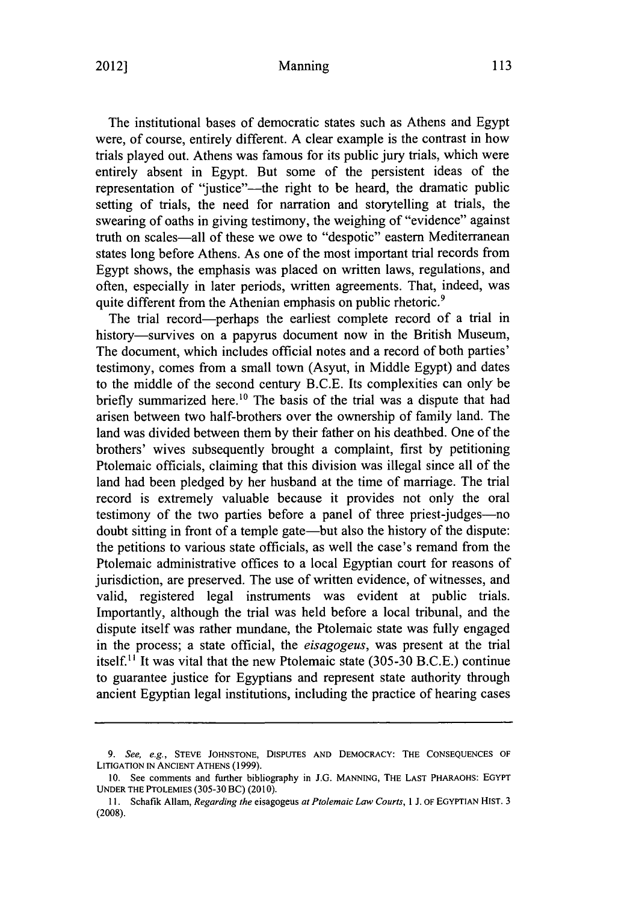#### Manning 2012] **113**

The institutional bases of democratic states such as Athens and Egypt were, of course, entirely different. **A** clear example is the contrast in how trials played out. Athens was famous for its public jury trials, which were entirely absent in **Egypt.** But some of the persistent ideas of the representation of "justice"--- the right to be heard, the dramatic public setting of trials, the need for narration and storytelling at trials, the swearing of oaths in giving testimony, the weighing of "evidence" against truth on scales-all of these we owe to "despotic" eastern Mediterranean states long before Athens. As one of the most important trial records from **Egypt** shows, the emphasis was placed on written laws, regulations, and often, especially in later periods, written agreements. That, indeed, was quite different from the Athenian emphasis on public rhetoric.<sup>9</sup>

The trial record-perhaps the earliest complete record of a trial in history-survives on a papyrus document now in the British Museum, The document, which includes official notes and a record of both parties' testimony, comes from a small town (Asyut, in Middle **Egypt)** and dates to the middle of the second century **B.C.E.** Its complexities can only be briefly summarized here.<sup>10</sup> The basis of the trial was a dispute that had arisen between two half-brothers over the ownership of family land. The land was divided between them **by** their father on his deathbed. One of the brothers' wives subsequently brought a complaint, first **by** petitioning Ptolemaic officials, claiming that this division was illegal since all of the land had been pledged **by** her husband at the time of marriage. The trial record is extremely valuable because it provides not only the oral testimony of the two parties before a panel of three priest-judges-no doubt sitting in front of a temple gate—but also the history of the dispute: the petitions to various state officials, as well the case's remand from the Ptolemaic administrative offices to a local Egyptian court for reasons of jurisdiction, are preserved. The use of written evidence, of witnesses, and valid, registered legal instruments was evident at public trials. Importantly, although the trial was held before a local tribunal, and the dispute itself was rather mundane, the Ptolemaic state was **fully** engaged in the process; a state official, the *eisagogeus,* was present at the trial itself." It was vital that the new Ptolemaic state **(305-30 B.C.E.)** continue to guarantee justice for Egyptians and represent state authority through ancient Egyptian legal institutions, including the practice of hearing cases

*<sup>9.</sup> See, e.g.,* **STEVE JOHNSTONE, DISPUTES AND DEMOCRACY: THE CONSEQUENCES OF LITIGATION IN ANCIENT ATHENS (1999).**

**<sup>10.</sup> See comments and further bibliography in J.G. MANNING, THE LAST PHARAOHS: EGYPT UNDER THE PTOLEMIES (305-30** BC) **(2010).**

**I1. Schafik Allam,** *Regarding the* **eisagogeus** *at Ptolemaic Law Courts,* 1 **J. OF EGYPTIAN HIST. 3 (2008).**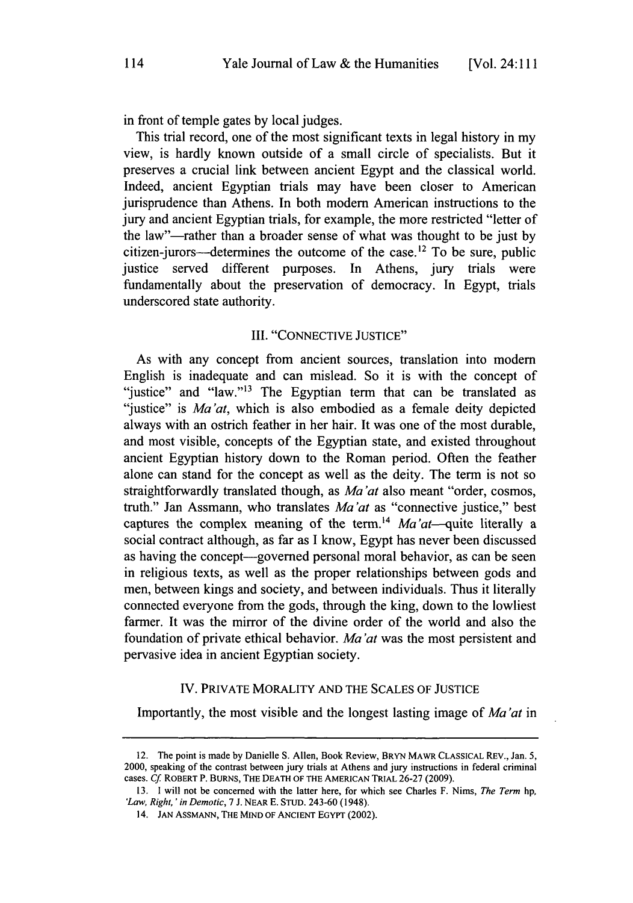in front of temple gates **by** local judges.

This trial record, one of the most significant texts in legal history in my view, is hardly known outside of a small circle of specialists. But it preserves a crucial link between ancient **Egypt** and the classical world. Indeed, ancient Egyptian trials may have been closer to American jurisprudence than Athens. In both modern American instructions to the jury and ancient Egyptian trials, for example, the more restricted "letter of the law"-rather than a broader sense of what was thought to be just **by** citizen-jurors--determines the outcome of the case.<sup>12</sup> To be sure, public justice served different purposes. In Athens, jury trials were fundamentally about the preservation of democracy. In **Egypt,** trials underscored state authority.

## III. **"CONNECTIVE JUSTICE"**

As with any concept from ancient sources, translation into modem English is inadequate and can mislead. So it is with the concept of "justice" and "law."<sup>13</sup> The Egyptian term that can be translated as "justice" is *Ma'at*, which is also embodied as a female deity depicted always with an ostrich feather in her hair. It was one of the most durable, and most visible, concepts of the Egyptian state, and existed throughout ancient Egyptian history down to the Roman period. Often the feather alone can stand for the concept as well as the deity. The term is not so straightforwardly translated though, as *Ma'at* also meant "order, cosmos, truth." Jan Assmann, who translates *Ma'at* as "connective justice," best captures the complex meaning of the term.<sup>14</sup> Ma'at-quite literally a social contract although, as far as **I** know, **Egypt** has never been discussed as having the concept—governed personal moral behavior, as can be seen in religious texts, as well as the proper relationships between gods and men, between kings and society, and between individuals. Thus it literally connected everyone from the gods, through the king, down to the lowliest farmer. It was the mirror of the divine order of the world and also the foundation of private ethical behavior. *Ma'at* was the most persistent and pervasive idea in ancient Egyptian society.

# IV. PRIVATE MORALITY **AND** THE **SCALES** OF **JUSTICE**

Importantly, the most visible and the longest lasting image of *Ma'at in*

<sup>12.</sup> The point is made **by** Danielle **S.** Allen, Book Review, **BRYN MAWR CLASSICAL REV.,** Jan. **5,** 2000, speaking of the contrast between jury trials at Athens and jury instructions in federal criminal cases. **Cf** ROBERT P. BURNs, THE **DEATH OF THE AMERICAN TRIAL 26-27 (2009).**

**<sup>13.</sup>** I will not be concerned with the latter here, for which see Charles F. Nims, *The Term hp, 'Law, Right, 'in Demotic, 7* **J. NEAR E.** STUD. 243-60 (1948).

<sup>14.</sup> **JAN** ASSMANN, THE **MIND OF ANCIENT EGYPT** (2002).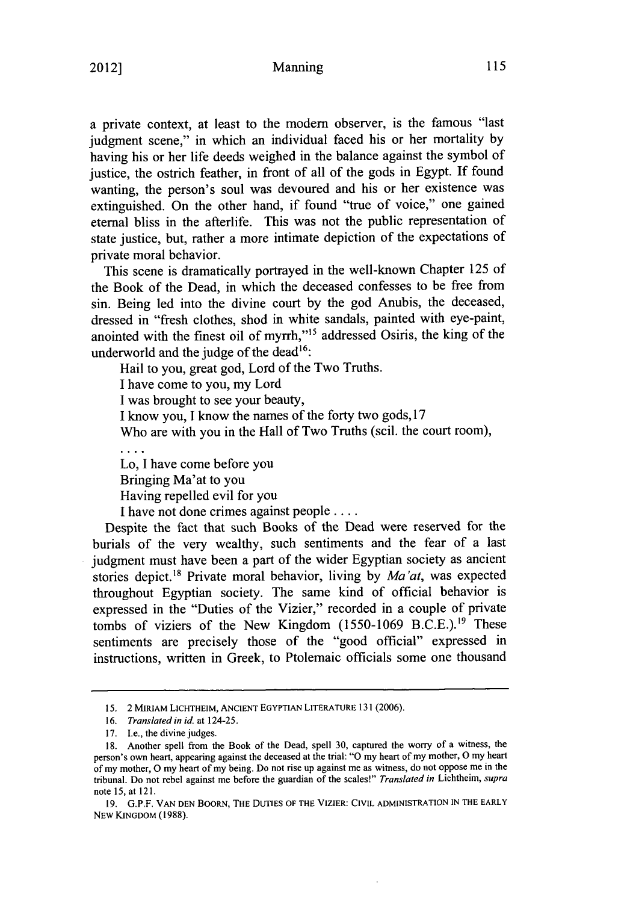#### Manning 2012] **115 115 115 115 115 115**

a private context, at least to the modem observer, is the famous "last judgment scene," in which an individual faced his or her mortality **by** having his or her life deeds weighed in the balance against the symbol of justice, the ostrich feather, in front of all of the gods in Egypt. **If** found wanting, the person's soul was devoured and his or her existence was extinguished. On the other hand, if found "true of voice," one gained eternal bliss in the afterlife. This was not the public representation of state justice, but, rather a more intimate depiction of the expectations of private moral behavior.

This scene is dramatically portrayed in the well-known Chapter *125* of the Book of the Dead, in which the deceased confesses to be free from sin. Being led into the divine court **by** the god Anubis, the deceased, dressed in "fresh clothes, shod in white sandals, painted with eye-paint, anointed with the finest oil of myrrh,"<sup>15</sup> addressed Osiris, the king of the underworld and the judge of the dead<sup>16</sup>:

Hail to you, great god, Lord of the Two Truths. **I** have come to you, my Lord **I** was brought to see your beauty, **I** know you, **I** know the names of the forty two gods, **17** Who are with you in the Hall of Two Truths (scil. the court room), Lo, **I** have come before you

Bringing Ma'at to you Having repelled evil for you **I** have not done crimes against people **....**

Despite the fact that such Books of the Dead were reserved for the burials of the very wealthy, such sentiments and the fear of a last judgment must have been a part of the wider Egyptian society as ancient stories depict.<sup>18</sup> Private moral behavior, living by *Ma'at*, was expected throughout Egyptian society. The same kind of official behavior is expressed in the "Duties of the Vizier," recorded in a couple of private tombs of viziers of the New Kingdom (1550-1069 B.C.E.).<sup>19</sup> These sentiments are precisely those of the "good official" expressed in instructions, written in Greek, to Ptolemaic officials some one thousand

**<sup>15. 2</sup> MIRIAM LICHTHEIM, ANCIENT EGYPTIAN LITERATURE 131 (2006).**

*<sup>16.</sup> Translated in id. at 124-25.*

**<sup>17.</sup> Le.,** the divine judges.

**<sup>18.</sup>** Another spell from the Book of the Dead, spell **30,** captured the worry of a witness, the person's own heart, appearing against the deceased at the trial: **"0** my heart of my mother, **0** my heart of my mother, **0** my heart of my being. Do not rise up against me as witness, do not oppose me in the tribunal. Do not rebel against me before the guardian of the scales!" *Translated in Lichtheim, supra* note 15, at 121.

**<sup>19.</sup> G.P.F. VAN DEN** BooRN, **THE DUTIES OF THE VIZIER: CIVIL ADMINISTRATION IN THE EARLY NEW KINGDOM (1988).**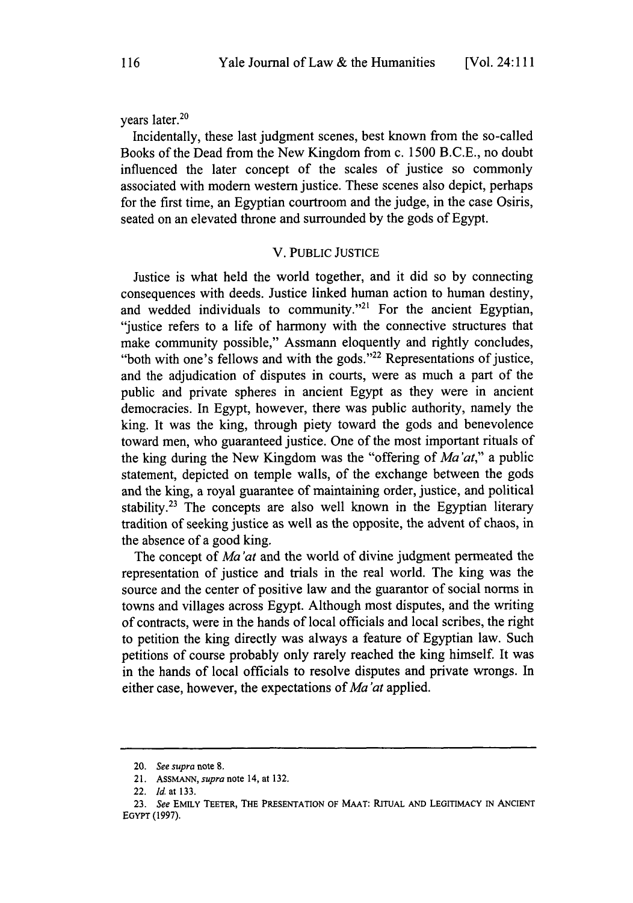## vears later.<sup>20</sup>

Incidentally, these last judgment scenes, best known from the so-called Books of the Dead from the New Kingdom from c. **1500 B.C.E.,** no doubt influenced the later concept of the scales of justice so commonly associated with modern western justice. These scenes also depict, perhaps for the first time, an Egyptian courtroom and the judge, in the case Osiris, seated on an elevated throne and surrounded **by** the gods of Egypt.

### V. PUBLIC **JUSTICE**

Justice is what held the world together, and it did so **by** connecting consequences with deeds. Justice linked human action to human destiny, and wedded individuals to community."<sup>21</sup> For the ancient Egyptian, "justice refers to a life of harmony with the connective structures that make community possible," Assmann eloquently and rightly concludes, "both with one's fellows and with the gods."<sup>22</sup> Representations of justice, and the adjudication of disputes in courts, were as much a part of the public and private spheres in ancient **Egypt** as they were in ancient democracies. In **Egypt,** however, there was public authority, namely the king. It was the king, through piety toward the gods and benevolence toward men, who guaranteed justice. One of the most important rituals of the king during the New Kingdom was the "offering of *Ma'at,"* a public statement, depicted on temple walls, of the exchange between the gods and the king, a royal guarantee of maintaining order, justice, and political stability.<sup>23</sup> The concepts are also well known in the Egyptian literary tradition of seeking justice as well as the opposite, the advent of chaos, in the absence of a good king.

The concept of *Ma'at* and the world of divine judgment permeated the representation of justice and trials in the real world. The king was the source and the center of positive law and the guarantor of social norms in towns and villages across **Egypt.** Although most disputes, and the writing of contracts, were in the hands of local officials and local scribes, the right to petition the king directly was always a feature of Egyptian law. Such petitions of course probably only rarely reached the king himself. It was in the hands of local officials to resolve disputes and private wrongs. In either case, however, the expectations of *Ma'at* applied.

**<sup>20.</sup>** *See supra* note 8.

**<sup>21.</sup> ASSMANN,** *supra* **note 14, at 132.**

**<sup>22.</sup>** *Id.* **at 133.**

**<sup>23.</sup>** *See* **EMILY TEETER, THE PRESENTATION OF MAAT: RITUAL AND LEGITIMACY IN ANCIENT EGYPT (1997).**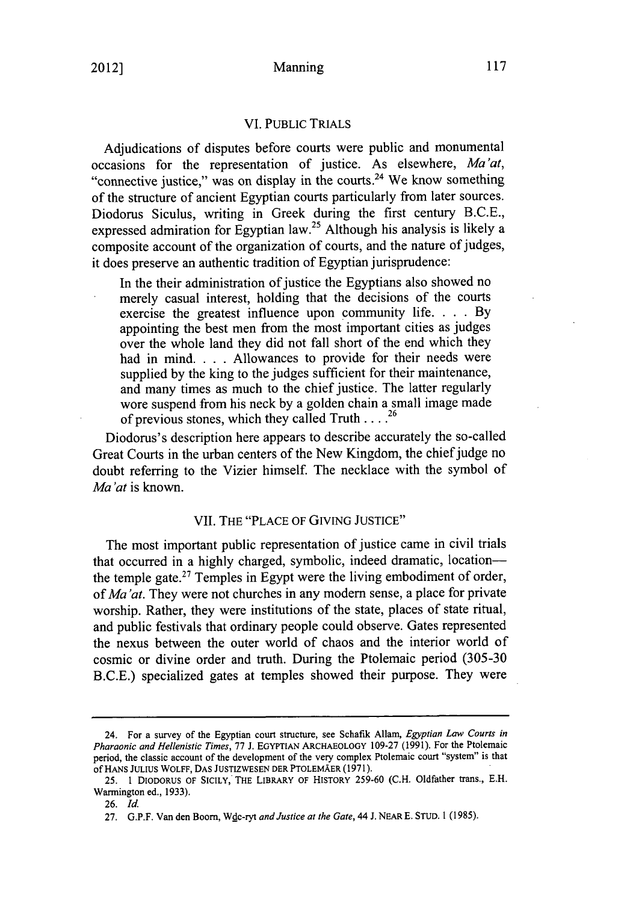### VI. PUBLIC TRIALS

Adjudications of disputes before courts were public and monumental occasions for the representation of justice. As elsewhere, *Ma'at,* "connective justice," was on display in the courts.<sup>24</sup> We know something of the structure of ancient Egyptian courts particularly from later sources. Diodorus Siculus, writing in Greek during the first century **B.C.E.,** expressed admiration for Egyptian law.<sup>25</sup> Although his analysis is likely a composite account of the organization of courts, and the nature of judges, it does preserve an authentic tradition of Egyptian jurisprudence:

In the their administration of justice the Egyptians also showed no merely casual interest, holding that the decisions of the courts exercise the greatest influence upon community life. **. . . By** appointing the best men from the most important cities as judges over the whole land they did not fall short of the end which they had in mind. **. . .** Allowances to provide for their needs were supplied **by** the king to the judges sufficient for their maintenance, and many times as much to the chief justice. The latter regularly wore suspend from his neck **by** a golden chain a small image made of previous stones, which they called Truth **.... <sup>2</sup> <sup>6</sup>**

Diodorus's description here appears to describe accurately the so-called Great Courts in the urban centers of the New Kingdom, the chief judge no doubt referring to the Vizier himself. The necklace with the symbol of *Ma'at* is known.

### VII. THE **"PLACE** OF **GIVING JUSTICE"**

The most important public representation of justice came in civil trials that occurred in a **highly** charged, symbolic, indeed dramatic, locationthe temple gate.27 Temples in **Egypt** were the living embodiment of order, *of Ma'at.* They were not churches in any modem sense, a place for private worship. Rather, they were institutions of the state, places of state ritual, and public festivals that ordinary people could observe. Gates represented the nexus between the outer world of chaos and the interior world of cosmic or divine order and truth. During the Ptolemaic period **(305-30 B.C.E.)** specialized gates at temples showed their purpose. They were

<sup>24.</sup> For a survey of the Egyptian court structure, see Schafik Allam, *Egyptian Law Courts in Pharaonic and Hellenistic Times,* **77 J. EGYPTIAN** ARCHAEOLOGY **109-27 (1991).** For the Ptolemaic period, the classic account of the development of the very complex Ptolemaic court "system" is that of HANS **JULIUS** WOLFF, **DAS JUSTIZWESEN DER PTOLEMAER (1971).**

**<sup>25. 1</sup> DIODORUS** OF SICILY, THE LIBRARY OF HISTORY **259-60 (C.H.** Oldfather trans., **E.H.** Warmington ed., **1933).**

**<sup>26.</sup>** *Id.*

**<sup>27.</sup> G.P.F.** Van den Boom, Wdc-ryt *and Justice at the Gate, 44* **J. NEAR E. STUD.** 1 **(1985).**